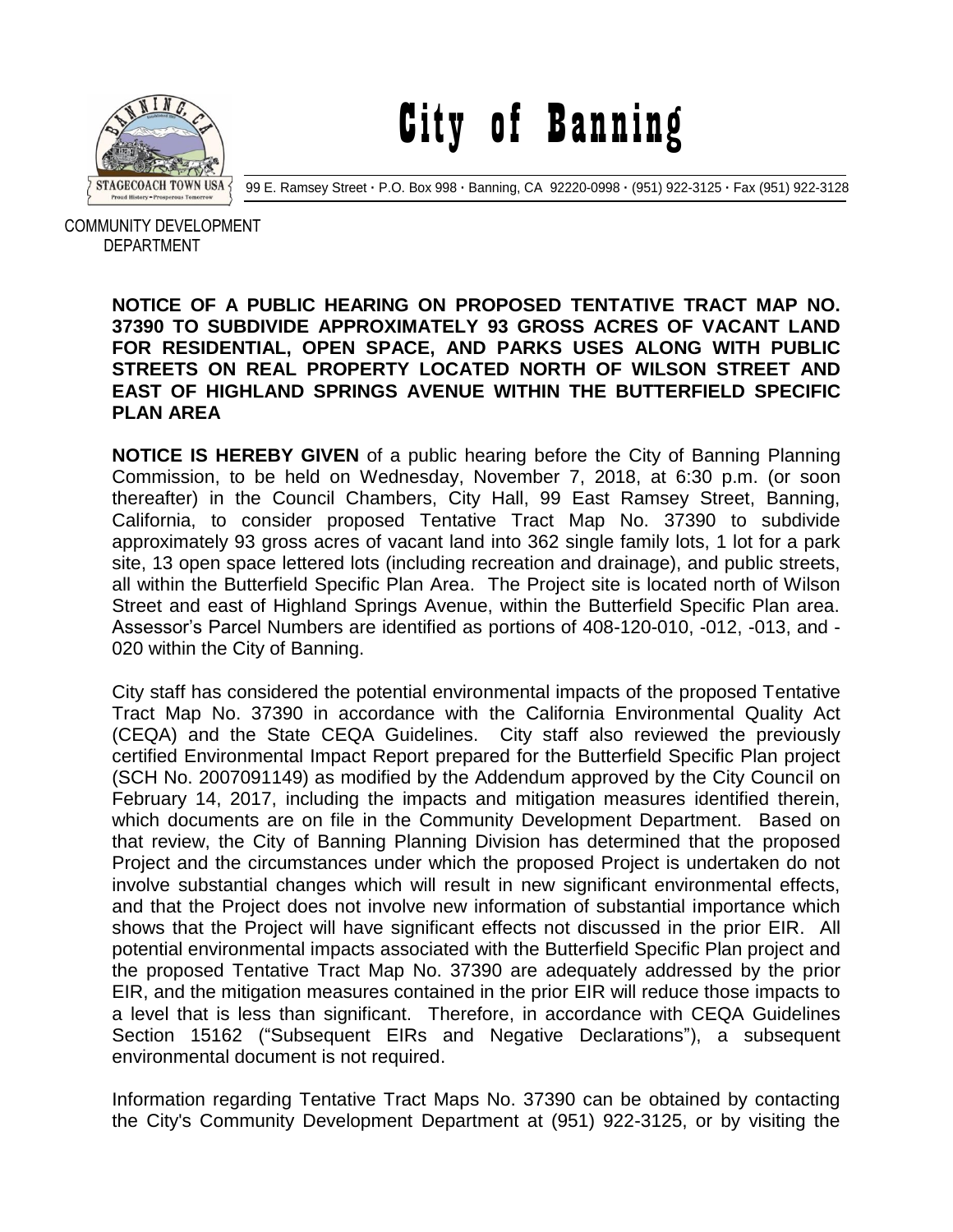

City of Banning

99 E. Ramsey Street **·** P.O. Box 998 **·** Banning, CA 92220-0998 **·** (951) 922-3125 **·** Fax (951) 922-3128

 COMMUNITY DEVELOPMENT DEPARTMENT

## **NOTICE OF A PUBLIC HEARING ON PROPOSED TENTATIVE TRACT MAP NO. 37390 TO SUBDIVIDE APPROXIMATELY 93 GROSS ACRES OF VACANT LAND FOR RESIDENTIAL, OPEN SPACE, AND PARKS USES ALONG WITH PUBLIC STREETS ON REAL PROPERTY LOCATED NORTH OF WILSON STREET AND EAST OF HIGHLAND SPRINGS AVENUE WITHIN THE BUTTERFIELD SPECIFIC PLAN AREA**

**NOTICE IS HEREBY GIVEN** of a public hearing before the City of Banning Planning Commission, to be held on Wednesday, November 7, 2018, at 6:30 p.m. (or soon thereafter) in the Council Chambers, City Hall, 99 East Ramsey Street, Banning, California, to consider proposed Tentative Tract Map No. 37390 to subdivide approximately 93 gross acres of vacant land into 362 single family lots, 1 lot for a park site, 13 open space lettered lots (including recreation and drainage), and public streets, all within the Butterfield Specific Plan Area. The Project site is located north of Wilson Street and east of Highland Springs Avenue, within the Butterfield Specific Plan area. Assessor's Parcel Numbers are identified as portions of 408-120-010, -012, -013, and - 020 within the City of Banning.

City staff has considered the potential environmental impacts of the proposed Tentative Tract Map No. 37390 in accordance with the California Environmental Quality Act (CEQA) and the State CEQA Guidelines. City staff also reviewed the previously certified Environmental Impact Report prepared for the Butterfield Specific Plan project (SCH No. 2007091149) as modified by the Addendum approved by the City Council on February 14, 2017, including the impacts and mitigation measures identified therein, which documents are on file in the Community Development Department. Based on that review, the City of Banning Planning Division has determined that the proposed Project and the circumstances under which the proposed Project is undertaken do not involve substantial changes which will result in new significant environmental effects, and that the Project does not involve new information of substantial importance which shows that the Project will have significant effects not discussed in the prior EIR. All potential environmental impacts associated with the Butterfield Specific Plan project and the proposed Tentative Tract Map No. 37390 are adequately addressed by the prior EIR, and the mitigation measures contained in the prior EIR will reduce those impacts to a level that is less than significant. Therefore, in accordance with CEQA Guidelines Section 15162 ("Subsequent EIRs and Negative Declarations"), a subsequent environmental document is not required.

Information regarding Tentative Tract Maps No. 37390 can be obtained by contacting the City's Community Development Department at (951) 922-3125, or by visiting the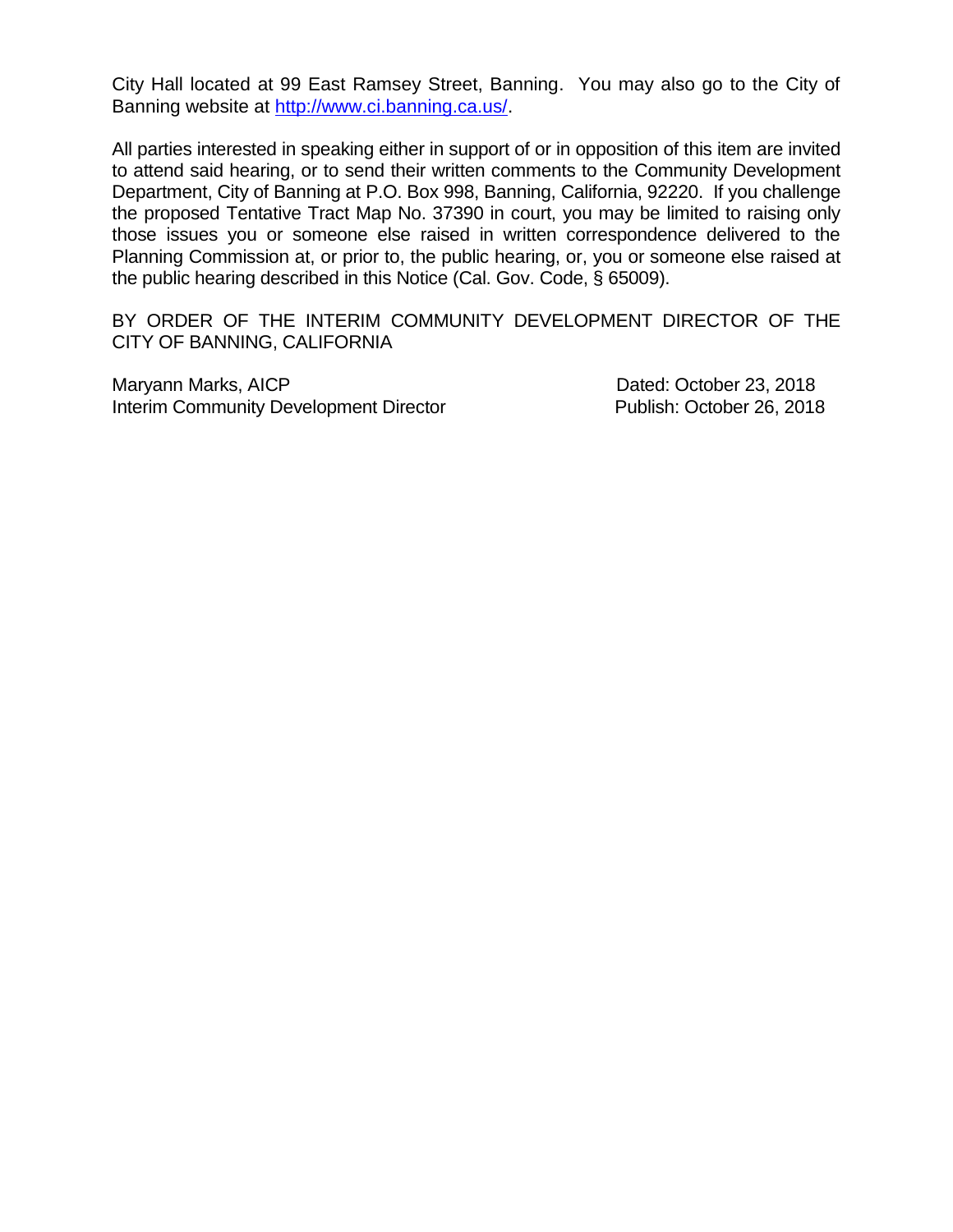City Hall located at 99 East Ramsey Street, Banning. You may also go to the City of Banning website at [http://www.ci.banning.ca.us/.](http://www.ci.banning.ca.us/)

All parties interested in speaking either in support of or in opposition of this item are invited to attend said hearing, or to send their written comments to the Community Development Department, City of Banning at P.O. Box 998, Banning, California, 92220. If you challenge the proposed Tentative Tract Map No. 37390 in court, you may be limited to raising only those issues you or someone else raised in written correspondence delivered to the Planning Commission at, or prior to, the public hearing, or, you or someone else raised at the public hearing described in this Notice (Cal. Gov. Code, § 65009).

BY ORDER OF THE INTERIM COMMUNITY DEVELOPMENT DIRECTOR OF THE CITY OF BANNING, CALIFORNIA

Maryann Marks, AICP **Dated: October 23, 2018** Interim Community Development Director **Publish: October 26, 2018**